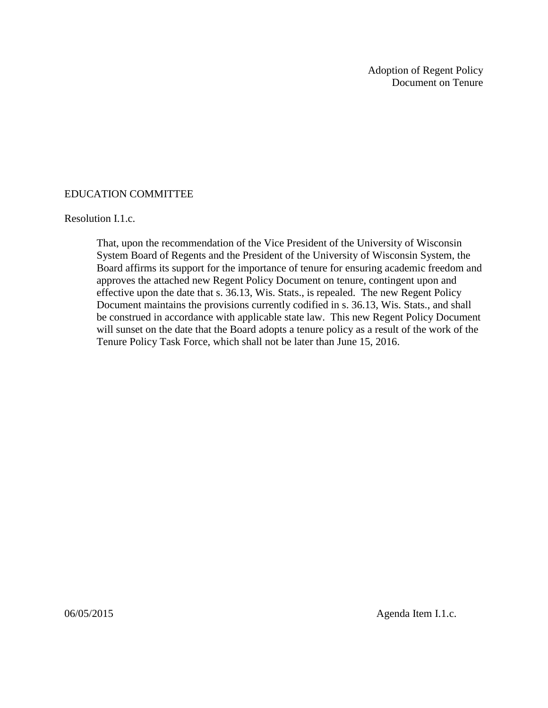Adoption of Regent Policy Document on Tenure

## EDUCATION COMMITTEE

## Resolution I.1.c.

That, upon the recommendation of the Vice President of the University of Wisconsin System Board of Regents and the President of the University of Wisconsin System, the Board affirms its support for the importance of tenure for ensuring academic freedom and approves the attached new Regent Policy Document on tenure, contingent upon and effective upon the date that s. 36.13, Wis. Stats., is repealed. The new Regent Policy Document maintains the provisions currently codified in s. 36.13, Wis. Stats., and shall be construed in accordance with applicable state law. This new Regent Policy Document will sunset on the date that the Board adopts a tenure policy as a result of the work of the Tenure Policy Task Force, which shall not be later than June 15, 2016.

06/05/2015 Agenda Item I.1.c.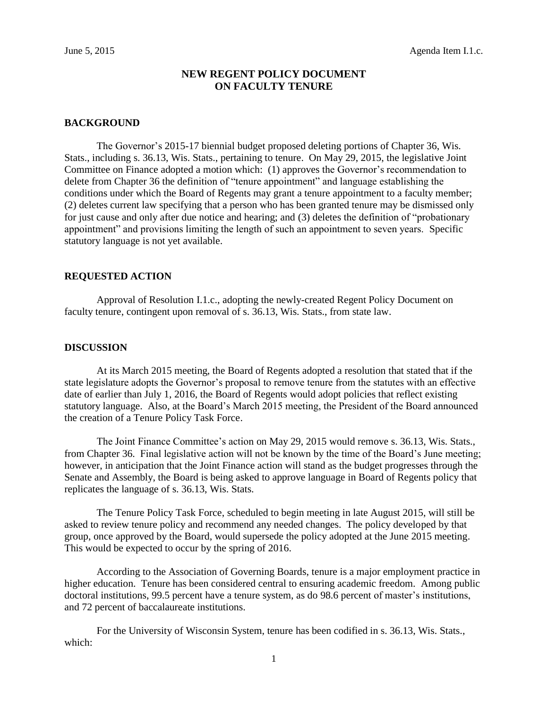## **NEW REGENT POLICY DOCUMENT ON FACULTY TENURE**

### **BACKGROUND**

The Governor's 2015-17 biennial budget proposed deleting portions of Chapter 36, Wis. Stats., including s. 36.13, Wis. Stats., pertaining to tenure. On May 29, 2015, the legislative Joint Committee on Finance adopted a motion which: (1) approves the Governor's recommendation to delete from Chapter 36 the definition of "tenure appointment" and language establishing the conditions under which the Board of Regents may grant a tenure appointment to a faculty member; (2) deletes current law specifying that a person who has been granted tenure may be dismissed only for just cause and only after due notice and hearing; and (3) deletes the definition of "probationary appointment" and provisions limiting the length of such an appointment to seven years. Specific statutory language is not yet available.

#### **REQUESTED ACTION**

Approval of Resolution I.1.c., adopting the newly-created Regent Policy Document on faculty tenure, contingent upon removal of s. 36.13, Wis. Stats., from state law.

#### **DISCUSSION**

At its March 2015 meeting, the Board of Regents adopted a resolution that stated that if the state legislature adopts the Governor's proposal to remove tenure from the statutes with an effective date of earlier than July 1, 2016, the Board of Regents would adopt policies that reflect existing statutory language. Also, at the Board's March 2015 meeting, the President of the Board announced the creation of a Tenure Policy Task Force.

The Joint Finance Committee's action on May 29, 2015 would remove s. 36.13, Wis. Stats., from Chapter 36. Final legislative action will not be known by the time of the Board's June meeting; however, in anticipation that the Joint Finance action will stand as the budget progresses through the Senate and Assembly, the Board is being asked to approve language in Board of Regents policy that replicates the language of s. 36.13, Wis. Stats.

The Tenure Policy Task Force, scheduled to begin meeting in late August 2015, will still be asked to review tenure policy and recommend any needed changes. The policy developed by that group, once approved by the Board, would supersede the policy adopted at the June 2015 meeting. This would be expected to occur by the spring of 2016.

According to the Association of Governing Boards, tenure is a major employment practice in higher education. Tenure has been considered central to ensuring academic freedom. Among public doctoral institutions, 99.5 percent have a tenure system, as do 98.6 percent of master's institutions, and 72 percent of baccalaureate institutions.

For the University of Wisconsin System, tenure has been codified in s. 36.13, Wis. Stats., which: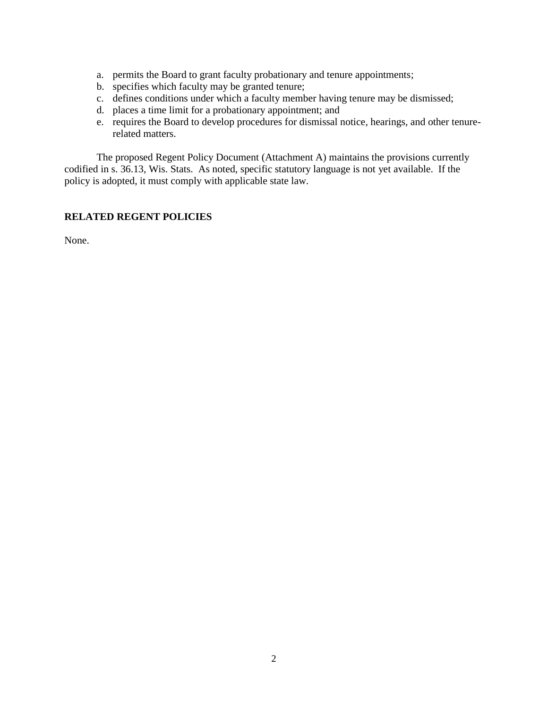- a. permits the Board to grant faculty probationary and tenure appointments;
- b. specifies which faculty may be granted tenure;
- c. defines conditions under which a faculty member having tenure may be dismissed;
- d. places a time limit for a probationary appointment; and
- e. requires the Board to develop procedures for dismissal notice, hearings, and other tenurerelated matters.

The proposed Regent Policy Document (Attachment A) maintains the provisions currently codified in s. 36.13, Wis. Stats. As noted, specific statutory language is not yet available. If the policy is adopted, it must comply with applicable state law.

## **RELATED REGENT POLICIES**

None.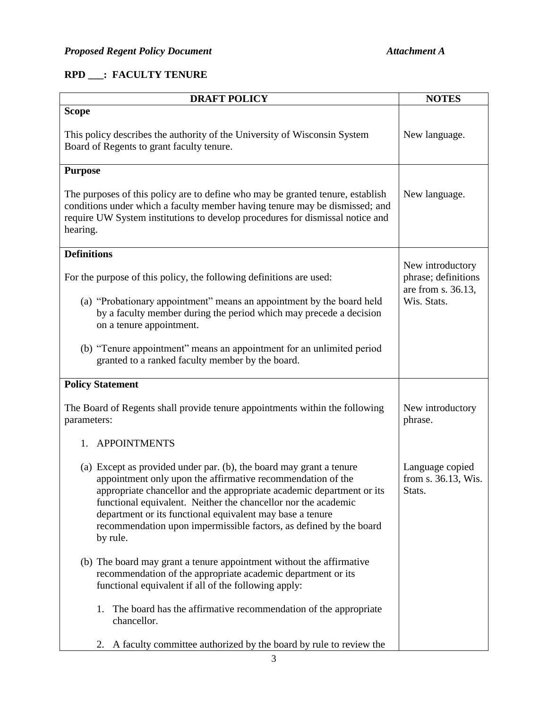# **RPD \_\_\_: FACULTY TENURE**

| <b>DRAFT POLICY</b>                                                                                                                                                                                                                                                                                                                                                                                                          | <b>NOTES</b>                                                                 |
|------------------------------------------------------------------------------------------------------------------------------------------------------------------------------------------------------------------------------------------------------------------------------------------------------------------------------------------------------------------------------------------------------------------------------|------------------------------------------------------------------------------|
| <b>Scope</b>                                                                                                                                                                                                                                                                                                                                                                                                                 |                                                                              |
| This policy describes the authority of the University of Wisconsin System<br>Board of Regents to grant faculty tenure.                                                                                                                                                                                                                                                                                                       | New language.                                                                |
| <b>Purpose</b>                                                                                                                                                                                                                                                                                                                                                                                                               |                                                                              |
| The purposes of this policy are to define who may be granted tenure, establish<br>conditions under which a faculty member having tenure may be dismissed; and<br>require UW System institutions to develop procedures for dismissal notice and<br>hearing.                                                                                                                                                                   | New language.                                                                |
| <b>Definitions</b>                                                                                                                                                                                                                                                                                                                                                                                                           |                                                                              |
| For the purpose of this policy, the following definitions are used:                                                                                                                                                                                                                                                                                                                                                          | New introductory<br>phrase; definitions<br>are from s. 36.13,<br>Wis. Stats. |
| (a) "Probationary appointment" means an appointment by the board held<br>by a faculty member during the period which may precede a decision<br>on a tenure appointment.                                                                                                                                                                                                                                                      |                                                                              |
| (b) "Tenure appointment" means an appointment for an unlimited period<br>granted to a ranked faculty member by the board.                                                                                                                                                                                                                                                                                                    |                                                                              |
| <b>Policy Statement</b>                                                                                                                                                                                                                                                                                                                                                                                                      |                                                                              |
| The Board of Regents shall provide tenure appointments within the following<br>parameters:                                                                                                                                                                                                                                                                                                                                   | New introductory<br>phrase.                                                  |
| <b>APPOINTMENTS</b><br>1.                                                                                                                                                                                                                                                                                                                                                                                                    |                                                                              |
| (a) Except as provided under par. (b), the board may grant a tenure<br>appointment only upon the affirmative recommendation of the<br>appropriate chancellor and the appropriate academic department or its<br>functional equivalent. Neither the chancellor nor the academic<br>department or its functional equivalent may base a tenure<br>recommendation upon impermissible factors, as defined by the board<br>by rule. | Language copied<br>from s. 36.13, Wis.<br>Stats.                             |
| (b) The board may grant a tenure appointment without the affirmative<br>recommendation of the appropriate academic department or its<br>functional equivalent if all of the following apply:                                                                                                                                                                                                                                 |                                                                              |
| The board has the affirmative recommendation of the appropriate<br>1.<br>chancellor.                                                                                                                                                                                                                                                                                                                                         |                                                                              |
| A faculty committee authorized by the board by rule to review the<br>2.                                                                                                                                                                                                                                                                                                                                                      |                                                                              |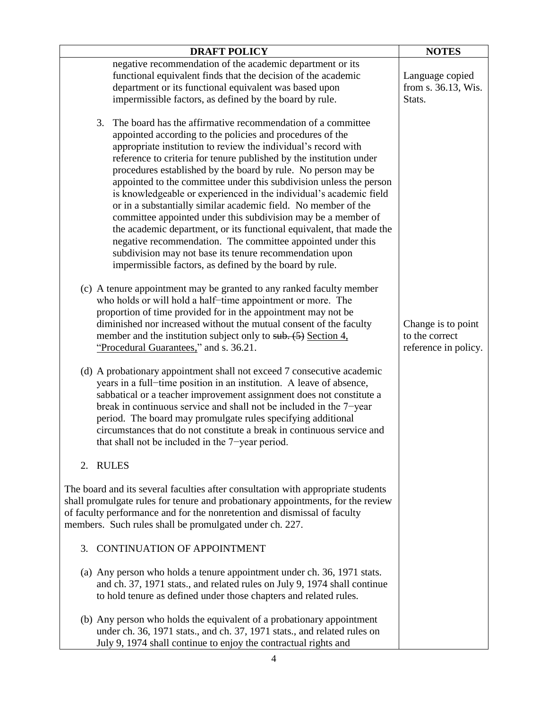| <b>DRAFT POLICY</b>                                                                                                                                                                                                                                                                                                                                                                                                                                                                                                                                                                                                                                                                                                                                             | <b>NOTES</b>                                                 |
|-----------------------------------------------------------------------------------------------------------------------------------------------------------------------------------------------------------------------------------------------------------------------------------------------------------------------------------------------------------------------------------------------------------------------------------------------------------------------------------------------------------------------------------------------------------------------------------------------------------------------------------------------------------------------------------------------------------------------------------------------------------------|--------------------------------------------------------------|
| negative recommendation of the academic department or its                                                                                                                                                                                                                                                                                                                                                                                                                                                                                                                                                                                                                                                                                                       |                                                              |
| functional equivalent finds that the decision of the academic                                                                                                                                                                                                                                                                                                                                                                                                                                                                                                                                                                                                                                                                                                   | Language copied                                              |
| department or its functional equivalent was based upon                                                                                                                                                                                                                                                                                                                                                                                                                                                                                                                                                                                                                                                                                                          | from s. 36.13, Wis.                                          |
| impermissible factors, as defined by the board by rule.                                                                                                                                                                                                                                                                                                                                                                                                                                                                                                                                                                                                                                                                                                         | Stats.                                                       |
| The board has the affirmative recommendation of a committee<br>3.<br>appointed according to the policies and procedures of the<br>appropriate institution to review the individual's record with<br>reference to criteria for tenure published by the institution under<br>procedures established by the board by rule. No person may be<br>appointed to the committee under this subdivision unless the person<br>is knowledgeable or experienced in the individual's academic field<br>or in a substantially similar academic field. No member of the<br>committee appointed under this subdivision may be a member of<br>the academic department, or its functional equivalent, that made the<br>negative recommendation. The committee appointed under this |                                                              |
| subdivision may not base its tenure recommendation upon                                                                                                                                                                                                                                                                                                                                                                                                                                                                                                                                                                                                                                                                                                         |                                                              |
| impermissible factors, as defined by the board by rule.                                                                                                                                                                                                                                                                                                                                                                                                                                                                                                                                                                                                                                                                                                         |                                                              |
| (c) A tenure appointment may be granted to any ranked faculty member<br>who holds or will hold a half-time appointment or more. The<br>proportion of time provided for in the appointment may not be<br>diminished nor increased without the mutual consent of the faculty<br>member and the institution subject only to sub. $(5)$ Section 4,<br>"Procedural Guarantees," and s. 36.21.                                                                                                                                                                                                                                                                                                                                                                        | Change is to point<br>to the correct<br>reference in policy. |
| (d) A probationary appointment shall not exceed 7 consecutive academic<br>years in a full-time position in an institution. A leave of absence,<br>sabbatical or a teacher improvement assignment does not constitute a<br>break in continuous service and shall not be included in the 7-year<br>period. The board may promulgate rules specifying additional<br>circumstances that do not constitute a break in continuous service and<br>that shall not be included in the 7-year period.                                                                                                                                                                                                                                                                     |                                                              |
| <b>RULES</b><br>2.                                                                                                                                                                                                                                                                                                                                                                                                                                                                                                                                                                                                                                                                                                                                              |                                                              |
| The board and its several faculties after consultation with appropriate students<br>shall promulgate rules for tenure and probationary appointments, for the review<br>of faculty performance and for the nonretention and dismissal of faculty<br>members. Such rules shall be promulgated under ch. 227.                                                                                                                                                                                                                                                                                                                                                                                                                                                      |                                                              |
| <b>CONTINUATION OF APPOINTMENT</b><br>3.                                                                                                                                                                                                                                                                                                                                                                                                                                                                                                                                                                                                                                                                                                                        |                                                              |
| (a) Any person who holds a tenure appointment under ch. 36, 1971 stats.<br>and ch. 37, 1971 stats., and related rules on July 9, 1974 shall continue<br>to hold tenure as defined under those chapters and related rules.                                                                                                                                                                                                                                                                                                                                                                                                                                                                                                                                       |                                                              |
| (b) Any person who holds the equivalent of a probationary appointment<br>under ch. 36, 1971 stats., and ch. 37, 1971 stats., and related rules on<br>July 9, 1974 shall continue to enjoy the contractual rights and                                                                                                                                                                                                                                                                                                                                                                                                                                                                                                                                            |                                                              |